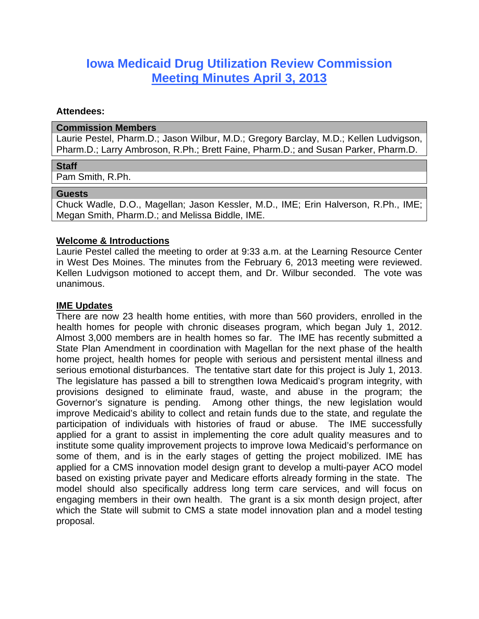# **Iowa Medicaid Drug Utilization Review Commission Meeting Minutes April 3, 2013**

#### **Attendees:**

#### **Commission Members**

Laurie Pestel, Pharm.D.; Jason Wilbur, M.D.; Gregory Barclay, M.D.; Kellen Ludvigson, Pharm.D.; Larry Ambroson, R.Ph.; Brett Faine, Pharm.D.; and Susan Parker, Pharm.D.

#### **Staff**

Pam Smith, R.Ph.

#### **Guests**

Chuck Wadle, D.O., Magellan; Jason Kessler, M.D., IME; Erin Halverson, R.Ph., IME; Megan Smith, Pharm.D.; and Melissa Biddle, IME.

#### **Welcome & Introductions**

Laurie Pestel called the meeting to order at 9:33 a.m. at the Learning Resource Center in West Des Moines. The minutes from the February 6, 2013 meeting were reviewed. Kellen Ludvigson motioned to accept them, and Dr. Wilbur seconded. The vote was unanimous.

#### **IME Updates**

There are now 23 health home entities, with more than 560 providers, enrolled in the health homes for people with chronic diseases program, which began July 1, 2012. Almost 3,000 members are in health homes so far. The IME has recently submitted a State Plan Amendment in coordination with Magellan for the next phase of the health home project, health homes for people with serious and persistent mental illness and serious emotional disturbances. The tentative start date for this project is July 1, 2013. The legislature has passed a bill to strengthen Iowa Medicaid's program integrity, with provisions designed to eliminate fraud, waste, and abuse in the program; the Governor's signature is pending. Among other things, the new legislation would improve Medicaid's ability to collect and retain funds due to the state, and regulate the participation of individuals with histories of fraud or abuse. The IME successfully applied for a grant to assist in implementing the core adult quality measures and to institute some quality improvement projects to improve Iowa Medicaid's performance on some of them, and is in the early stages of getting the project mobilized. IME has applied for a CMS innovation model design grant to develop a multi-payer ACO model based on existing private payer and Medicare efforts already forming in the state. The model should also specifically address long term care services, and will focus on engaging members in their own health. The grant is a six month design project, after which the State will submit to CMS a state model innovation plan and a model testing proposal.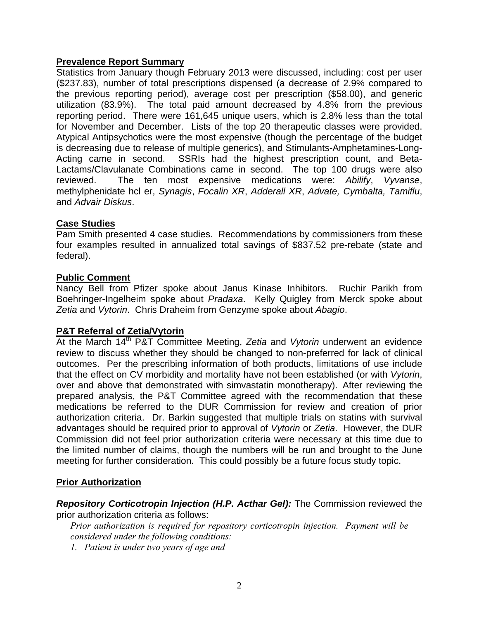# **Prevalence Report Summary**

Statistics from January though February 2013 were discussed, including: cost per user (\$237.83), number of total prescriptions dispensed (a decrease of 2.9% compared to the previous reporting period), average cost per prescription (\$58.00), and generic utilization (83.9%). The total paid amount decreased by 4.8% from the previous reporting period. There were 161,645 unique users, which is 2.8% less than the total for November and December. Lists of the top 20 therapeutic classes were provided. Atypical Antipsychotics were the most expensive (though the percentage of the budget is decreasing due to release of multiple generics), and Stimulants-Amphetamines-Long-Acting came in second. SSRIs had the highest prescription count, and Beta-Lactams/Clavulanate Combinations came in second. The top 100 drugs were also reviewed. The ten most expensive medications were: *Abilify*, *Vyvanse*, methylphenidate hcl er, *Synagis*, *Focalin XR*, *Adderall XR*, *Advate, Cymbalta, Tamiflu*, and *Advair Diskus*.

# **Case Studies**

Pam Smith presented 4 case studies. Recommendations by commissioners from these four examples resulted in annualized total savings of \$837.52 pre-rebate (state and federal).

#### **Public Comment**

Nancy Bell from Pfizer spoke about Janus Kinase Inhibitors. Ruchir Parikh from Boehringer-Ingelheim spoke about *Pradaxa*. Kelly Quigley from Merck spoke about *Zetia* and *Vytorin*. Chris Draheim from Genzyme spoke about *Abagio*.

# **P&T Referral of Zetia/Vytorin**

At the March 14th P&T Committee Meeting, *Zetia* and *Vytorin* underwent an evidence review to discuss whether they should be changed to non-preferred for lack of clinical outcomes. Per the prescribing information of both products, limitations of use include that the effect on CV morbidity and mortality have not been established (or with *Vytorin*, over and above that demonstrated with simvastatin monotherapy). After reviewing the prepared analysis, the P&T Committee agreed with the recommendation that these medications be referred to the DUR Commission for review and creation of prior authorization criteria. Dr. Barkin suggested that multiple trials on statins with survival advantages should be required prior to approval of *Vytorin* or *Zetia*. However, the DUR Commission did not feel prior authorization criteria were necessary at this time due to the limited number of claims, though the numbers will be run and brought to the June meeting for further consideration. This could possibly be a future focus study topic.

# **Prior Authorization**

*Repository Corticotropin Injection (H.P. Acthar Gel):* The Commission reviewed the prior authorization criteria as follows:

*Prior authorization is required for repository corticotropin injection. Payment will be considered under the following conditions:* 

*1. Patient is under two years of age and*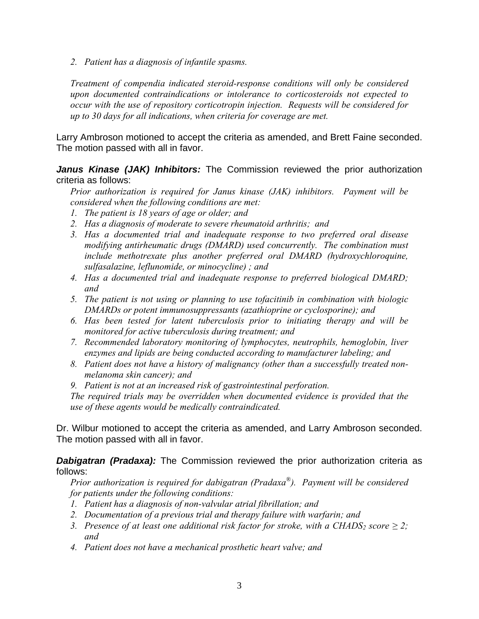*2. Patient has a diagnosis of infantile spasms.* 

*Treatment of compendia indicated steroid-response conditions will only be considered upon documented contraindications or intolerance to corticosteroids not expected to occur with the use of repository corticotropin injection. Requests will be considered for up to 30 days for all indications, when criteria for coverage are met.* 

Larry Ambroson motioned to accept the criteria as amended, and Brett Faine seconded. The motion passed with all in favor.

*Janus Kinase (JAK) Inhibitors:* The Commission reviewed the prior authorization criteria as follows:

*Prior authorization is required for Janus kinase (JAK) inhibitors. Payment will be considered when the following conditions are met:* 

- *1. The patient is 18 years of age or older; and*
- *2. Has a diagnosis of moderate to severe rheumatoid arthritis; and*
- *3. Has a documented trial and inadequate response to two preferred oral disease modifying antirheumatic drugs (DMARD) used concurrently. The combination must include methotrexate plus another preferred oral DMARD (hydroxychloroquine, sulfasalazine, leflunomide, or minocycline) ; and*
- *4. Has a documented trial and inadequate response to preferred biological DMARD; and*
- *5. The patient is not using or planning to use tofacitinib in combination with biologic DMARDs or potent immunosuppressants (azathioprine or cyclosporine); and*
- *6. Has been tested for latent tuberculosis prior to initiating therapy and will be monitored for active tuberculosis during treatment; and*
- *7. Recommended laboratory monitoring of lymphocytes, neutrophils, hemoglobin, liver enzymes and lipids are being conducted according to manufacturer labeling; and*
- *8. Patient does not have a history of malignancy (other than a successfully treated nonmelanoma skin cancer); and*
- *9. Patient is not at an increased risk of gastrointestinal perforation.*

*The required trials may be overridden when documented evidence is provided that the use of these agents would be medically contraindicated.*

Dr. Wilbur motioned to accept the criteria as amended, and Larry Ambroson seconded. The motion passed with all in favor.

**Dabigatran (Pradaxa):** The Commission reviewed the prior authorization criteria as follows:

*Prior authorization is required for dabigatran (Pradaxa®). Payment will be considered for patients under the following conditions:* 

- *1. Patient has a diagnosis of non-valvular atrial fibrillation; and*
- *2. Documentation of a previous trial and therapy failure with warfarin; and*
- *3. Presence of at least one additional risk factor for stroke, with a CHADS<sub>2</sub> score*  $\geq$  *2; and*
- *4. Patient does not have a mechanical prosthetic heart valve; and*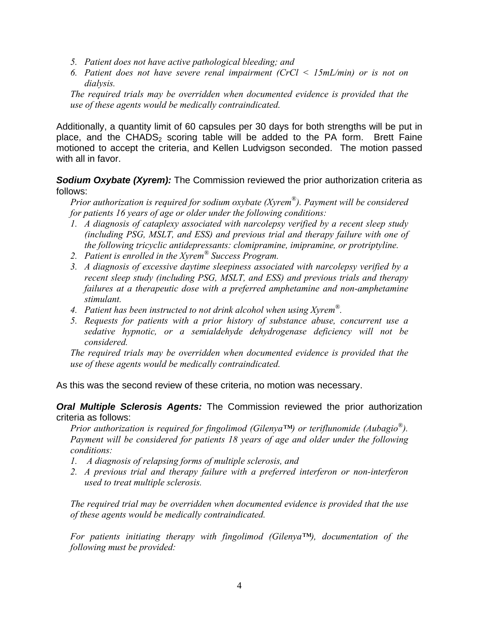- *5. Patient does not have active pathological bleeding; and*
- *6. Patient does not have severe renal impairment (CrCl < 15mL/min) or is not on dialysis.*

*The required trials may be overridden when documented evidence is provided that the use of these agents would be medically contraindicated.* 

Additionally, a quantity limit of 60 capsules per 30 days for both strengths will be put in place, and the CHADS<sub>2</sub> scoring table will be added to the PA form. Brett Faine motioned to accept the criteria, and Kellen Ludvigson seconded. The motion passed with all in favor.

# **Sodium Oxybate (Xyrem):** The Commission reviewed the prior authorization criteria as follows:

*Prior authorization is required for sodium oxybate (Xyrem®). Payment will be considered for patients 16 years of age or older under the following conditions:* 

- *1. A diagnosis of cataplexy associated with narcolepsy verified by a recent sleep study (including PSG, MSLT, and ESS) and previous trial and therapy failure with one of the following tricyclic antidepressants: clomipramine, imipramine, or protriptyline.*
- *2. Patient is enrolled in the Xyrem® Success Program.*
- *3. A diagnosis of excessive daytime sleepiness associated with narcolepsy verified by a recent sleep study (including PSG, MSLT, and ESS) and previous trials and therapy failures at a therapeutic dose with a preferred amphetamine and non-amphetamine stimulant.*
- *4. Patient has been instructed to not drink alcohol when using Xyrem®.*
- *5. Requests for patients with a prior history of substance abuse, concurrent use a sedative hypnotic, or a semialdehyde dehydrogenase deficiency will not be considered.*

*The required trials may be overridden when documented evidence is provided that the use of these agents would be medically contraindicated.* 

As this was the second review of these criteria, no motion was necessary.

*Oral Multiple Sclerosis Agents:* The Commission reviewed the prior authorization criteria as follows:

*Prior authorization is required for fingolimod (Gilenya™) or teriflunomide (Aubagio®). Payment will be considered for patients 18 years of age and older under the following conditions:* 

- *1. A diagnosis of relapsing forms of multiple sclerosis, and*
- *2. A previous trial and therapy failure with a preferred interferon or non-interferon used to treat multiple sclerosis.*

*The required trial may be overridden when documented evidence is provided that the use of these agents would be medically contraindicated.* 

*For patients initiating therapy with fingolimod (Gilenya™), documentation of the following must be provided:*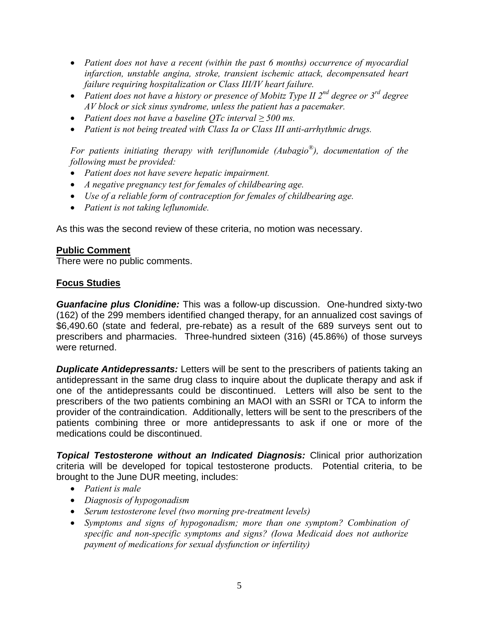- *Patient does not have a recent (within the past 6 months) occurrence of myocardial infarction, unstable angina, stroke, transient ischemic attack, decompensated heart failure requiring hospitalization or Class III/IV heart failure.*
- *Patient does not have a history or presence of Mobitz Type II 2nd degree or 3rd degree AV block or sick sinus syndrome, unless the patient has a pacemaker.*
- *Patient does not have a baseline QTc interval ≥ 500 ms.*
- *Patient is not being treated with Class Ia or Class III anti-arrhythmic drugs.*

*For patients initiating therapy with teriflunomide (Aubagio®), documentation of the following must be provided:* 

- *Patient does not have severe hepatic impairment.*
- *A negative pregnancy test for females of childbearing age.*
- *Use of a reliable form of contraception for females of childbearing age.*
- *Patient is not taking leflunomide.*

As this was the second review of these criteria, no motion was necessary.

# **Public Comment**

There were no public comments.

# **Focus Studies**

*Guanfacine plus Clonidine:* This was a follow-up discussion. One-hundred sixty-two (162) of the 299 members identified changed therapy, for an annualized cost savings of \$6,490.60 (state and federal, pre-rebate) as a result of the 689 surveys sent out to prescribers and pharmacies. Three-hundred sixteen (316) (45.86%) of those surveys were returned.

**Duplicate Antidepressants:** Letters will be sent to the prescribers of patients taking an antidepressant in the same drug class to inquire about the duplicate therapy and ask if one of the antidepressants could be discontinued. Letters will also be sent to the prescribers of the two patients combining an MAOI with an SSRI or TCA to inform the provider of the contraindication. Additionally, letters will be sent to the prescribers of the patients combining three or more antidepressants to ask if one or more of the medications could be discontinued.

*Topical Testosterone without an Indicated Diagnosis:* Clinical prior authorization criteria will be developed for topical testosterone products. Potential criteria, to be brought to the June DUR meeting, includes:

- *Patient is male*
- *Diagnosis of hypogonadism*
- *Serum testosterone level (two morning pre-treatment levels)*
- *Symptoms and signs of hypogonadism; more than one symptom? Combination of specific and non-specific symptoms and signs? (Iowa Medicaid does not authorize payment of medications for sexual dysfunction or infertility)*